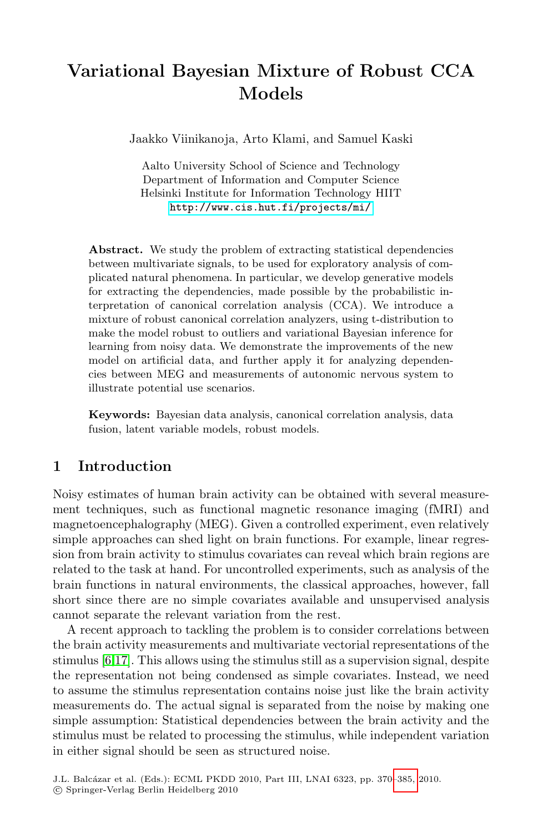# **Variational Bayesian Mixture of Robust CCA [Mod](http://www.cis.hut.fi/projects/mi/)els**

Jaakko Viinikanoja, Arto Klami, and Samuel Kaski

Aalto University School of Science and Technology Department of Information and Computer Science Helsinki Institute for Information Technology HIIT http://www.cis.hut.fi/projects/mi/

**Abstract.** We study the problem of extracting statistical dependencies between multivariate signals, to be used for exploratory analysis of complicated natural phenomena. In particular, we develop generative models for extracting the dependencies, made possible by the probabilistic interpretation of canonical correlation analysis (CCA). We introduce a mixture of robust canonical correlation analyzers, using t-distribution to make the model robust to outliers and variational Bayesian inference for learning from noisy data. We demonstrate the improvements of the new model on artificial data, and further apply it for analyzing dependencies between MEG and measurements of autonomic nervous system to illustrate potential use scenarios.

**Keywords:** Bayesian data analysis, canonical correlation analysis, data fusion, latent variable models, robust models.

### **1 Introduction**

Noisy estimates of human brain activity can be obtained with several measurement techniques, such as functional magnetic resonance imaging (fMRI) and magnetoencephalography (MEG). Given a controlled experiment, even relatively simple approaches can shed light on brain functions. For example, linear regression from brain activity to stimulus covariates can reveal which brain regions are related to the task at hand. For uncontrolled experiments, such as analysis of the brain functions in natural environments, the classical approaches, however, fall short since there are no simple covariates available and unsupervised analysis cannot separate the relevant variation from the rest.

A recent approach to tackling the problem is to consider correlations between the brain activity measurements and multivariate vectorial representations of the stimulus [6,17]. This allows using the stimul[us sti](#page-15-0)ll as a supervision signal, despite the representation not being condensed as simple covariates. Instead, we need to assume the stimulus representation contains noise just like the brain activity measurements do. The actual signal is separated from the noise by making one simple assumption: Statistical dependencies between the brain activity and the stimulus must be related to processing the stimulus, while independent variation in either signal should be seen as structured noise.

J.L. Balcázar et al. (Eds.): ECML PKDD 2010, Part III, LNAI 6323, pp. 370-385, 2010. -c Springer-Verlag Berlin Heidelberg 2010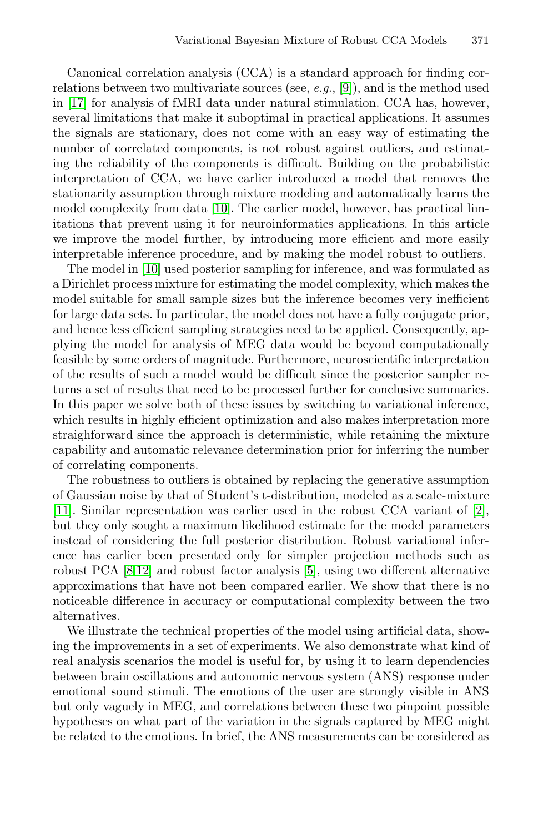Canonical correlation analysis (CCA) is a standard approach for finding correlations [betw](#page-15-1)een two multivariate sources (see, *e.g.*, [9]), and is the method used in [17] for analysis of fMRI data under natural stimulation. CCA has, however, several limitations that make it suboptimal in practical applications. It assumes the signals are stationary, does not come with an easy way of estimating the [n](#page-15-1)umber of correlated components, is not robust against outliers, and estimating the reliability of the components is difficult. Building on the probabilistic interpretation of CCA, we have earlier introduced a model that removes the stationarity assumption through mixture modeling and automatically learns the model complexity from data [10]. The earlier model, however, has practical limitations that prevent using it for neuroinformatics applications. In this article we improve the model further, by introducing more efficient and more easily interpretable inference procedure, and by making the model robust to outliers.

The model in [10] used posterior sampling for inference, and was formulated as a Dirichlet process mixture for estimating the model complexity, which makes the model suitable for small sample sizes but the inference becomes very inefficient for large data sets. In particular, the model does not have a fully conjugate prior, and hence less efficient sampling strategies need to be applied. Consequently, applying the model for analysis of MEG data would be beyond computationally feasible by some orders of magnitude. Furthermore, neuroscientific interpretation of the results of such a model would be difficult since the posterior sampler returns a set of results that need to be processed further for [co](#page-14-0)nclusive summaries. In this paper we solve both of these issues by switching to variational inference, which results in highly efficient optimization and also makes interpretation more straighforward since the approach is deterministic, while retaining the mixture capability and automatic r[ele](#page-15-2)vance determination prior for inferring the number of correlating components.

The robustness to outliers is obtained by replacing the generative assumption of Gaussian noise by that of Student's t-distribution, modeled as a scale-mixture [11]. Similar representation was earlier used in the robust CCA variant of [2], but they only sought a maximum likelihood estimate for the model parameters instead of considering the full posterior distribution. Robust variational inference has earlier been presented only for simpler projection methods such as robust PCA [8,12] and robust factor analysis [5], using two different alternative approximations that have not been compared earlier. We show that there is no noticeable difference in accuracy or computational complexity between the two alternatives.

We illustrate the technical properties of the model using artificial data, showing the improvements in a set of experiments. We also demonstrate what kind of real analysis scenarios the model is useful for, by using it to learn dependencies between brain oscillations and autonomic nervous system (ANS) response under emotional sound stimuli. The emotions of the user are strongly visible in ANS but only vaguely in MEG, and correlations between these two pinpoint possible hypotheses on what part of the variation in the signals captured by MEG might be related to the emotions. In brief, the ANS measurements can be considered as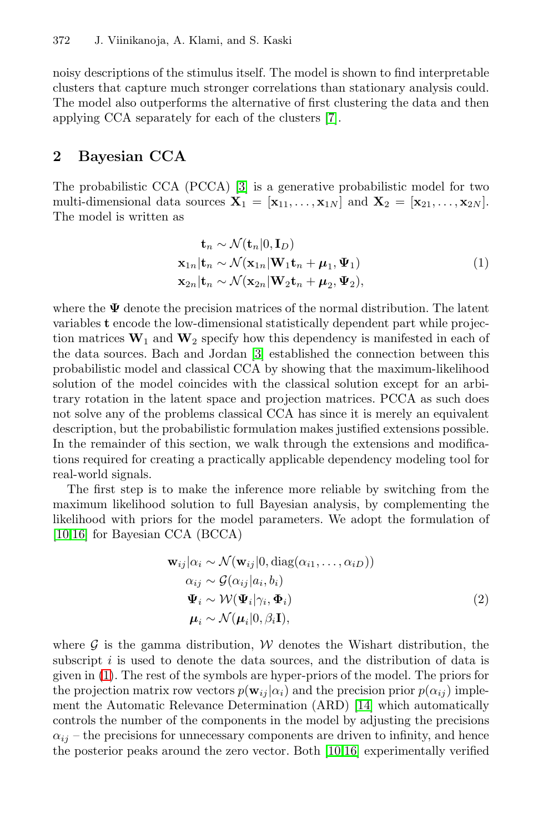noisy descripti[on](#page-14-1)s of the stimulus itself. The model is shown to find interpretable clusters that capture much stronger correlations than stationary analysis could. The model also outperforms the alternative of first clustering the data and then applying CCA separately for each of the clusters [7].

# **2 Bayesian CCA**

The probabilistic CCA (PCCA) [3] is a generative probabilistic model for two multi-dimensional data sources  $\mathbf{X}_1 = [\mathbf{x}_{11}, \dots, \mathbf{x}_{1N}]$  and  $\mathbf{X}_2 = [\mathbf{x}_{21}, \dots, \mathbf{x}_{2N}]$ . The model is written as

$$
\mathbf{t}_{n} \sim \mathcal{N}(\mathbf{t}_{n}|0, \mathbf{I}_{D})
$$
  
\n
$$
\mathbf{x}_{1n}|\mathbf{t}_{n} \sim \mathcal{N}(\mathbf{x}_{1n}|\mathbf{W}_{1}\mathbf{t}_{n} + \boldsymbol{\mu}_{1}, \boldsymbol{\Psi}_{1})
$$
  
\n
$$
\mathbf{x}_{2n}|\mathbf{t}_{n} \sim \mathcal{N}(\mathbf{x}_{2n}|\mathbf{W}_{2}\mathbf{t}_{n} + \boldsymbol{\mu}_{2}, \boldsymbol{\Psi}_{2}),
$$
\n(1)

where the  $\Psi$  denote the precision matrices of the normal distribution. The latent variables **t** encode the low-dimensional statistically dependent part while projection matrices  $W_1$  and  $W_2$  specify how this dependency is manifested in each of the data sources. Bach and Jordan [3] established the connection between this probabilistic model and classical CCA by showing that the maximum-likelihood solution of the model coincides with the classical solution except for an arbitrary rotation in the latent space and projection matrices. PCCA as such does not solve any of the problems classical CCA has since it is merely an equivalent description, but the probabilistic formulation makes justified extensions possible. In the remainder of this section, we walk through the extensions and modifications required for creating a practically applicable dependency modeling tool for real-world signals.

The first step is to make the inference more reliable by switching from the maximum likelihood solution to full Bayesian analysis, by complementing the likelihood with priors for the model parameters. We adopt the formulation of [10,16] for Bayesian CCA (BCCA)

$$
\mathbf{w}_{ij}|\alpha_i \sim \mathcal{N}(\mathbf{w}_{ij}|0, \text{diag}(\alpha_{i1}, \dots, \alpha_{iD}))
$$
  
\n
$$
\alpha_{ij} \sim \mathcal{G}(\alpha_{ij}|a_i, b_i)
$$
  
\n
$$
\mathbf{\Psi}_i \sim \mathcal{W}(\mathbf{\Psi}_i|\gamma_i, \mathbf{\Phi}_i)
$$
  
\n
$$
\boldsymbol{\mu}_i \sim \mathcal{N}(\boldsymbol{\mu}_i|0, \beta_i \mathbf{I}),
$$
\n(2)

where  $\mathcal G$  is the gamma distrib[uti](#page-15-1)[on,](#page-15-4)  $\mathcal W$  denotes the Wishart distribution, the subscript i is used to denote the data sources, and the distribution of data is given in (1). The rest of the symbols are hyper-priors of the model. The priors for the projection matrix row vectors  $p(\mathbf{w}_{ij} | \alpha_i)$  and the precision prior  $p(\alpha_{ij})$  implement the Automatic Relevance Determination (ARD) [14] which automatically controls the number of the components in the model by adjusting the precisions  $\alpha_{ij}$  – the precisions for unnecessary components are driven to infinity, and hence the posterior peaks around the zero vector. Both [10,16] experimentally verified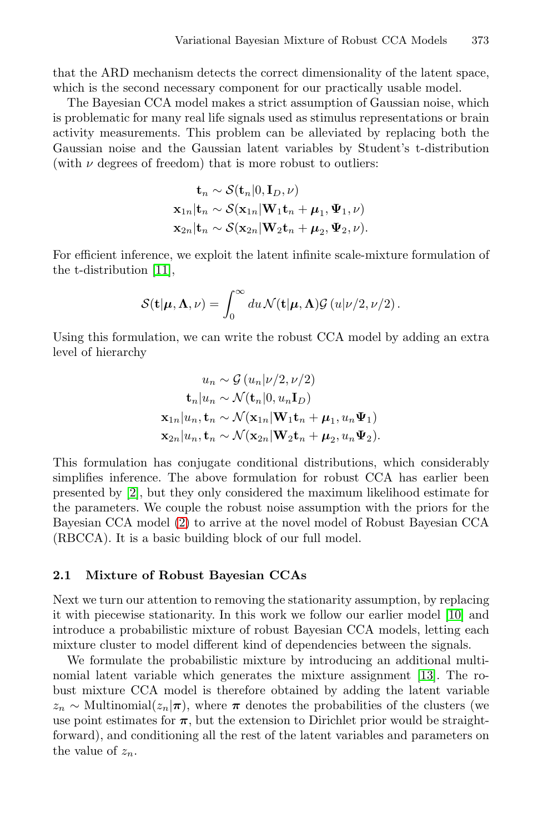that the ARD mechanism detects the correct dimensionality of the latent space, which is the second necessary component for our practically usable model.

The Bayesian CCA model makes a strict assumption of Gaussian noise, which is problematic for many real life signals used as stimulus representations or brain activity measurements. This problem can be alleviated by replacing both the [Ga](#page-15-5)ussian noise and the Gaussian latent variables by Student's t-distribution (with  $\nu$  degrees of freedom) that is more robust to outliers:

$$
\begin{aligned} \mathbf{t}_n &\sim \mathcal{S}(\mathbf{t}_n | 0, \mathbf{I}_D, \nu) \\ \mathbf{x}_{1n} | \mathbf{t}_n &\sim \mathcal{S}(\mathbf{x}_{1n} | \mathbf{W}_1 \mathbf{t}_n + \boldsymbol{\mu}_1, \boldsymbol{\Psi}_1, \nu) \\ \mathbf{x}_{2n} | \mathbf{t}_n &\sim \mathcal{S}(\mathbf{x}_{2n} | \mathbf{W}_2 \mathbf{t}_n + \boldsymbol{\mu}_2, \boldsymbol{\Psi}_2, \nu). \end{aligned}
$$

For efficient inference, we exploit the latent infinite scale-mixture formulation of the t-distribution [11],

$$
\mathcal{S}(\mathbf{t}|\boldsymbol{\mu}, \boldsymbol{\Lambda}, \nu) = \int_0^\infty du \, \mathcal{N}(\mathbf{t}|\boldsymbol{\mu}, \boldsymbol{\Lambda}) \mathcal{G}(u|\nu/2, \nu/2).
$$

Using this formulation, we can write the robust CCA model by adding an extra level of hierarchy

$$
u_n \sim \mathcal{G}(u_n|\nu/2, \nu/2)
$$
  
\n
$$
\mathbf{t}_n|u_n \sim \mathcal{N}(\mathbf{t}_n|0, u_n \mathbf{I}_D)
$$
  
\n
$$
\mathbf{x}_{1n}|u_n, \mathbf{t}_n \sim \mathcal{N}(\mathbf{x}_{1n}|\mathbf{W}_1\mathbf{t}_n + \boldsymbol{\mu}_1, u_n \boldsymbol{\Psi}_1)
$$
  
\n
$$
\mathbf{x}_{2n}|u_n, \mathbf{t}_n \sim \mathcal{N}(\mathbf{x}_{2n}|\mathbf{W}_2\mathbf{t}_n + \boldsymbol{\mu}_2, u_n \boldsymbol{\Psi}_2).
$$

This formulation has conjugate conditional distributions, which considerably simplifies inference. The above formulation for robust CCA has earlier been presented by [2], but they only considered the maxi[mum](#page-15-1) likelihood estimate for the parameters. We couple the robust noise assumption with the priors for the Bayesian CCA model (2) to arrive at the novel model of Robust Bayesian CCA (RBCCA). It is a basic building block of our full model.

### **2.1 Mixture of Robust Bayesian CCAs**

Next we turn our attention to removing the stationarity assumption, by replacing it with piecewise stationarity. In this work we follow our earlier model [10] and introduce a probabilistic mixture of robust Bayesian CCA models, letting each mixture cluster to model different kind of dependencies between the signals.

We formulate the probabilistic mixture by introducing an additional multinomial latent variable which generates the mixture assignment [13]. The robust mixture CCA model is therefore obtained by adding the latent variable  $z_n \sim$  Multinomial $(z_n|\pi)$ , where  $\pi$  denotes the probabilities of the clusters (we use point estimates for  $\pi$ , but the extension to Dirichlet prior would be straightforward), and conditioning all the rest of the latent variables and parameters on the value of  $z_n$ .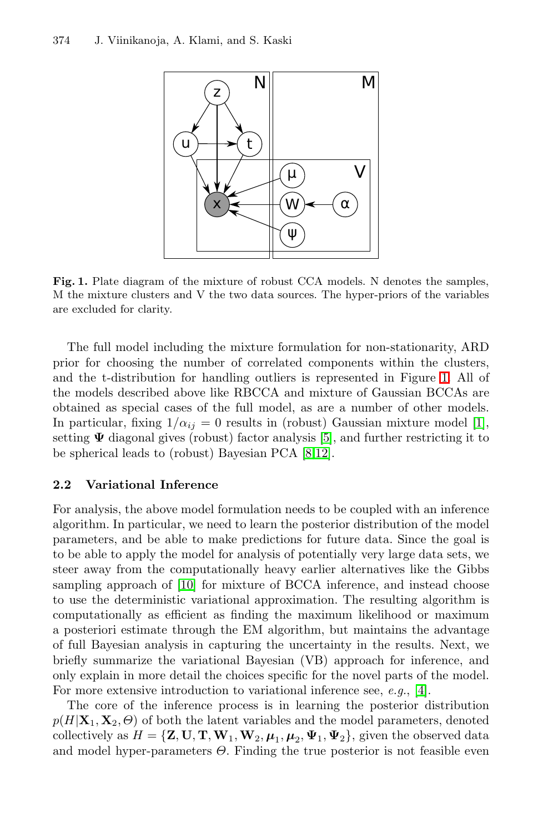

**Fig. 1.** Plate diagram of the mixture of robust CCA models. N denotes the samples, M the mixture clusters and V the two data sources. The hyper-priors of the variables are excluded for clarity.

The full model includin[g](#page-15-6) [the](#page-15-7) mixture formulation for non-stationarity, ARD prior for choosing the number of correlated components within the clusters, and the t-distribution for handling outliers is represented in Figure 1. All of the models described above like RBCCA and mixture of Gaussian BCCAs are obtained as special cases of the full model, as are a number of other models. In particular, fixing  $1/\alpha_{ij} = 0$  results in (robust) Gaussian mixture model [1], setting **Ψ** diagonal gives (robust) factor analysis [5], and further restricting it to be spherical leads to (robust) Bayesian PCA [8,12].

### **2.2 Variational Inference**

For analysis, the above model formulation needs to be coupled with an inference algorithm. In particular, we need to learn the posterior distribution of the model parameters, and be able to make predictions for future data. Since the goal is to be able to apply the model for analysis of potentially very large data sets, we steer away from the computationally heavy e[arl](#page-14-2)ier alternatives like the Gibbs sampling approach of [10] for mixture of BCCA inference, and instead choose to use the deterministic variational approximation. The resulting algorithm is computationally as efficient as finding the maximum likelihood or maximum a posteriori estimate through the EM algorithm, but maintains the advantage of full Bayesian analysis in capturing the uncertainty in the results. Next, we briefly summarize the variational Bayesian (VB) approach for inference, and only explain in more detail the choices specific for the novel parts of the model. For more extensive introduction to variational inference see, *e.g.*, [4].

The core of the inference process is in learning the posterior distribution  $p(H|\mathbf{X}_1, \mathbf{X}_2, \Theta)$  of both the latent variables and the model parameters, denoted collectively as  $H = {\mathbf{Z}, \mathbf{U}, \mathbf{T}, \mathbf{W}_1, \mathbf{W}_2, \boldsymbol{\mu}_1, \boldsymbol{\mu}_2, \boldsymbol{\Psi}_1, \boldsymbol{\Psi}_2}$ , given the observed data and model hyper-parameters  $\Theta$ . Finding the true posterior is not feasible even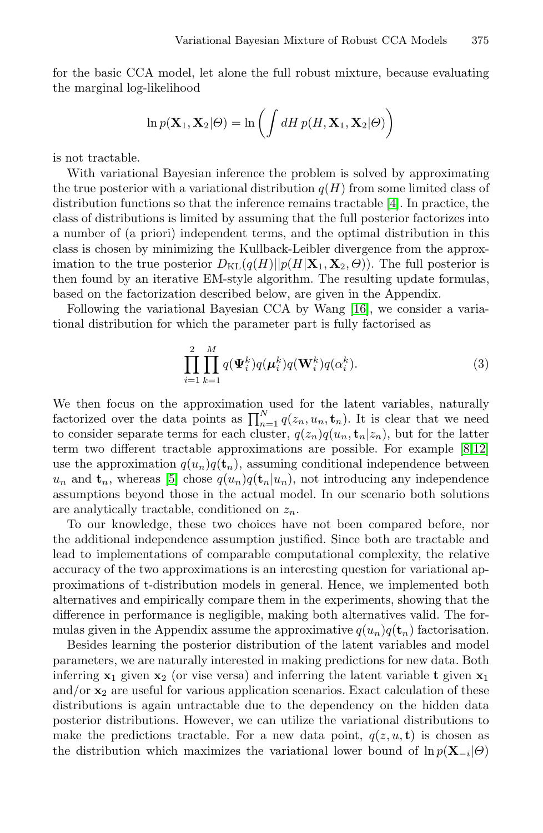for the basic CCA model, let alone the full robust mixture, because evaluating the marginal log-likelihood

$$
\ln p(\mathbf{X}_1, \mathbf{X}_2 | \Theta) = \ln \left( \int dH \, p(H, \mathbf{X}_1, \mathbf{X}_2 | \Theta) \right)
$$

is not tractable.

With variational Bayesian inference the problem is solved by approximating the true posterior with a variational [dis](#page-15-4)tribution  $q(H)$  from some limited class of distribution functions so that the inference remains tractable [4]. In practice, the class of distributions is limited by assuming that the full posterior factorizes into a number of (a priori) independent terms, and the optimal distribution in this class is chosen by minimizing the Kullback-Leibler divergence from the approximation to the true posterior  $D_{KL}(q(H)||p(H|\mathbf{X}_1, \mathbf{X}_2, \Theta))$ . The full posterior is then found by an iterative EM-style algorithm. The resulting update formulas, based on the factorization described below, are given in the Appendix.

Following the variational Bayesian CCA by Wang [16], we consider a variational distribution for which the parameter part is full[y f](#page-15-6)[act](#page-15-7)orised as

$$
\prod_{i=1}^{2} \prod_{k=1}^{M} q(\boldsymbol{\Psi}_i^k) q(\boldsymbol{\mu}_i^k) q(\boldsymbol{\mathbf{W}}_i^k) q(\boldsymbol{\alpha}_i^k).
$$
\n(3)

We then focus on the approximation used for the latent variables, naturally factorized over the data points as  $\prod_{n=1}^{N} q(z_n, u_n, \mathbf{t}_n)$ . It is clear that we need to consider separate terms for each cluster,  $q(z_n)q(u_n, \mathbf{t}_n|z_n)$ , but for the latter term two different tractable approximations are possible. For example [8,12] use the approximation  $q(u_n)q(t_n)$ , assuming conditional independence between  $u_n$  and  $\mathbf{t}_n$ , whereas [5] chose  $q(u_n)q(\mathbf{t}_n|u_n)$ , not introducing any independence assumptions beyond those in the actual model. In our scenario both solutions are analytically tractable, conditioned on  $z_n$ .

To our knowledge, these two choices have not been compared before, nor the additional independence assumption justified. Since both are tractable and lead to implementations of comparable computational complexity, the relative accuracy of the two approximations is an interesting question for variational approximations of t-distribution models in general. Hence, we implemented both alternatives and empirically compare them in the experiments, showing that the difference in performance is negligible, making both alternatives valid. The formulas given in the Appendix assume the approximative  $q(u_n)q(\mathbf{t}_n)$  factorisation.

Besides learning the posterior distribution of the latent variables and model parameters, we are naturally interested in making predictions for new data. Both inferring **x**<sup>1</sup> given **x**<sup>2</sup> (or vise versa) and inferring the latent variable **t** given **x**<sup>1</sup> and/or **x**<sup>2</sup> are useful for various application scenarios. Exact calculation of these distributions is again untractable due to the dependency on the hidden data posterior distributions. However, we can utilize the variational distributions to make the predictions tractable. For a new data point,  $q(z, u, \mathbf{t})$  is chosen as the distribution which maximizes the variational lower bound of  $\ln p(\mathbf{X}_{-i}|\Theta)$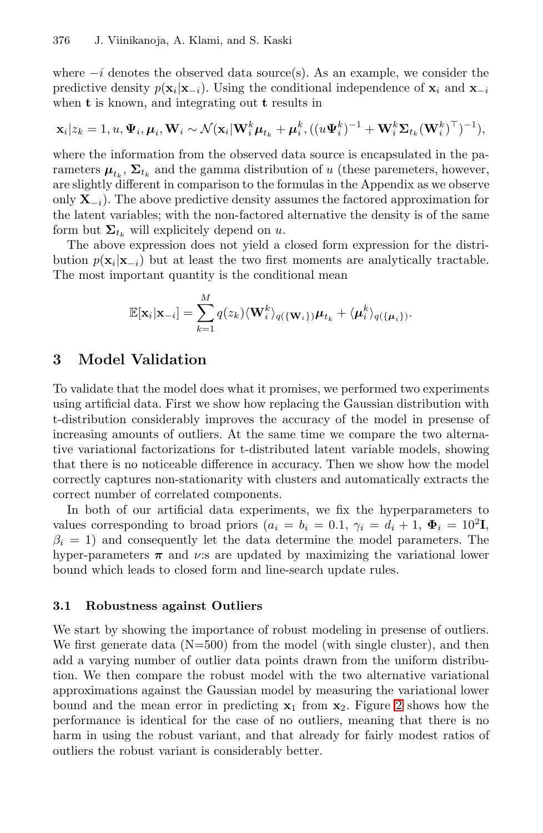where  $-i$  denotes the observed data source(s). As an example, we consider the predictive density  $p(\mathbf{x}_i|\mathbf{x}_{-i})$ . Using the conditional independence of  $\mathbf{x}_i$  and  $\mathbf{x}_{-i}$ when **t** is known, and integrating out **t** results in

$$
\mathbf{x}_i|z_k=1, u, \Psi_i, \boldsymbol{\mu}_i, \mathbf{W}_i \sim \mathcal{N}(\mathbf{x}_i|\mathbf{W}_i^k\boldsymbol{\mu}_{t_k}+\boldsymbol{\mu}_i^k, ((u\boldsymbol{\Psi}_i^k)^{-1}+\mathbf{W}_i^k\boldsymbol{\Sigma}_{t_k}(\mathbf{W}_i^k)^{\top})^{-1}),
$$

where the information from the observed data source is encapsulated in the parameters  $\mu_t$ ,  $\Sigma_{t_k}$  and the gamma distribution of u (these paremeters, however, are slightly different in comparison to the formulas in the Appendix as we observe only **X**−i). The above predictive density assumes the factored approximation for the latent variables; with the non-factored alternative the density is of the same form but  $\Sigma_{t_k}$  will explicitely depend on u.

The above expression does not yield a closed form expression for the distribution  $p(\mathbf{x}_i|\mathbf{x}_{-i})$  but at least the two first moments are analytically tractable. The most important quantity is the conditional mean

$$
\mathbb{E}[\mathbf{x}_i|\mathbf{x}_{-i}] = \sum_{k=1}^M q(z_k) \langle \mathbf{W}_i^k \rangle_{q(\{\mathbf{W}_i\})} \boldsymbol{\mu}_{t_k} + \langle \boldsymbol{\mu}_i^k \rangle_{q(\{\boldsymbol{\mu}_i\})}.
$$

## **3 Model Validation**

To validate that the model does what it promises, we performed two experiments using artificial data. First we show how replacing the Gaussian distribution with t-distribution considerably improves the accuracy of the model in presense of increasing amounts of outliers. At the same time we compare the two alternative variational factorizations for t-distributed latent variable models, showing that there is no noticeable difference in accuracy. Then we show how the model correctly captures non-stationarity with clusters and automatically extracts the correct number of correlated components.

In both of our artificial data experiments, we fix the hyperparameters to values corresponding to broad priors  $(a_i = b_i = 0.1, \gamma_i = d_i + 1, \Phi_i = 10^2$ **I**,  $\beta_i = 1$ ) and consequently let the data determine the model parameters. The hyper-parameters  $\pi$  and  $\nu$ : are updated by maximizing the variational lower bound which leads to closed form and line-search update rules.

#### **3.1 Robustness against Outliers**

We start by showing the importance of robust modeling in presense of outliers. We first generate data  $(N=500)$  from the model (with single cluster), and then add a varying number of outlier data points drawn from the uniform distribution. We then compare the robust model with the two alternative variational approximations against the Gaussian model by measuring the variational lower bound and the mean error in predicting  $x_1$  from  $x_2$ . Figure 2 shows how the performance is identical for the case of no outliers, meaning that there is no harm in using the robust variant, and that already for fairly modest ratios of outliers the robust variant is considerably better.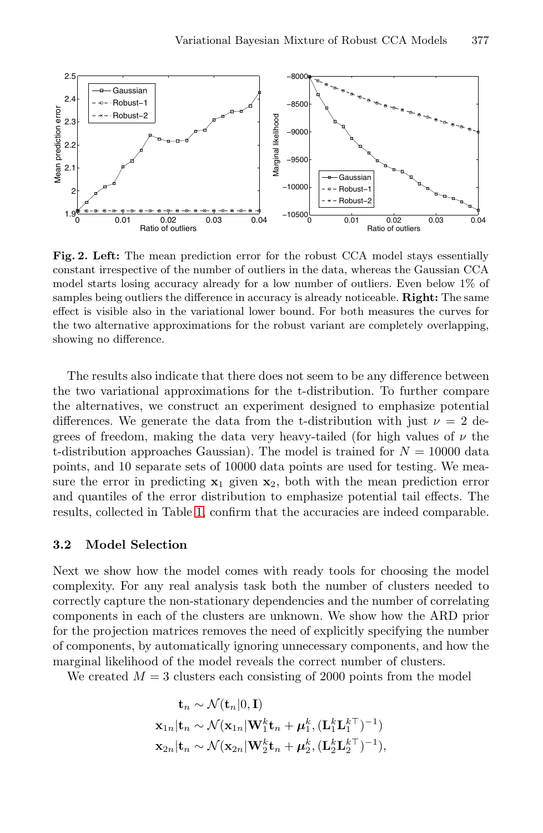

**Fig. 2. Left:** The mean prediction error for the robust CCA model stays essentially constant irrespective of the number of outliers in the data, whereas the Gaussian CCA model starts losing accuracy already for a low number of outliers. Even below 1% of samples being outliers the difference in accuracy is already noticeable. **Right:** The same effect is visible also in the variational lower bound. For both measures the curves for the two alternative approximations for the robust variant are completely overlapping, showing no difference.

The results also indicate that there does not seem to be any difference between the tw[o](#page-8-0) variational approximations for the t-distribution. To further compare the alternatives, we construct an experiment designed to emphasize potential differences. We generate the data from the t-distribution with just  $\nu = 2$  degrees of freedom, making the data very heavy-tailed (for high values of  $\nu$  the t-distribution approaches Gaussian). The model is trained for  $N = 10000$  data points, and 10 separate sets of 10000 data points are used for testing. We measure the error in predicting  $\mathbf{x}_1$  given  $\mathbf{x}_2$ , both with the mean prediction error and quantiles of the error distribution to emphasize potential tail effects. The results, collected in Table 1, confirm that the accuracies are indeed comparable.

### **3.2 Model Selection**

Next we show how the model comes with ready tools for choosing the model complexity. For any real analysis task both the number of clusters needed to correctly capture the non-stationary dependencies and the number of correlating components in each of the clusters are unknown. We show how the ARD prior for the projection matrices removes the need of explicitly specifying the number of components, by automatically ignoring unnecessary components, and how the marginal likelihood of the model reveals the correct number of clusters.

We created  $M = 3$  clusters each consisting of 2000 points from the model

$$
\begin{aligned} \mathbf{t}_n &\sim \mathcal{N}(\mathbf{t}_n | \mathbf{0}, \mathbf{I}) \\ \mathbf{x}_{1n} | \mathbf{t}_n &\sim \mathcal{N}(\mathbf{x}_{1n} | \mathbf{W}_1^k \mathbf{t}_n + \boldsymbol{\mu}_1^k, (\mathbf{L}_1^k \mathbf{L}_1^{k\top})^{-1}) \\ \mathbf{x}_{2n} | \mathbf{t}_n &\sim \mathcal{N}(\mathbf{x}_{2n} | \mathbf{W}_2^k \mathbf{t}_n + \boldsymbol{\mu}_2^k, (\mathbf{L}_2^k \mathbf{L}_2^{k\top})^{-1}), \end{aligned}
$$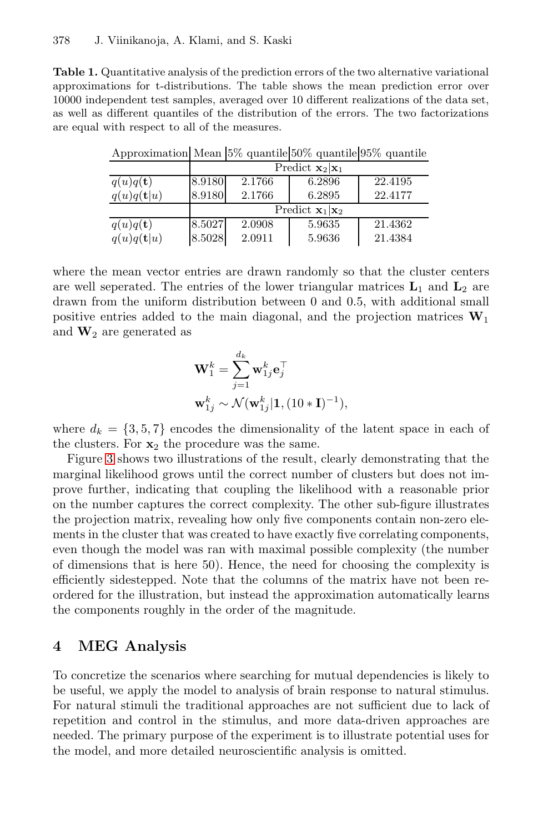<span id="page-8-0"></span>**Table 1.** Quantitative analysis of the prediction errors of the two alternative variational approximations for t-distributions. The table shows the mean prediction error over 10000 independent test samples, averaged over 10 different realizations of the data set, as well as different quantiles of the distribution of the errors. The two factorizations are equal with respect to all of the measures.

Approximation Mean 5% quantile 50% quantile 95% quantile

|            | Predict $\mathbf{x}_2 \mathbf{x}_1$ |        |        |         |
|------------|-------------------------------------|--------|--------|---------|
| q(u)q(t)   | 8.9180                              | 2.1766 | 6.2896 | 22.4195 |
| q(u)q(t u) | 8.9180                              | 2.1766 | 6.2895 | 22.4177 |
|            | Predict $\mathbf{x}_1 \mathbf{x}_2$ |        |        |         |
| q(u)q(t)   | 8.5027                              | 2.0908 | 5.9635 | 21.4362 |
| q(u)q(t u) | 8.5028                              | 2.0911 | 5.9636 | 21.4384 |

where the mean vector entries are drawn randomly so that the cluster centers are well seperated. The entries of the lower triangular matrices  $L_1$  and  $L_2$  are drawn from the uniform distribution between 0 and 0.5, with additional small positive entries added to the main diagonal, and the projection matrices **W**<sup>1</sup> and  $W_2$  are generated as

$$
\label{eq:W_1^k} \begin{aligned} \mathbf{W}_1^k &= \sum_{j=1}^{d_k} \mathbf{w}_{1j}^k \mathbf{e}_j^\top \\ \mathbf{w}_{1j}^k &\sim \mathcal{N}(\mathbf{w}_{1j}^k|\mathbf{1}, (10*\mathbf{I})^{-1}), \end{aligned}
$$

where  $d_k = \{3, 5, 7\}$  encodes the dimensionality of the latent space in each of the clusters. For  $x_2$  the procedure was the same.

Figure 3 shows two illustrations of the result, clearly demonstrating that the marginal likelihood grows until the correct number of clusters but does not improve further, indicating that coupling the likelihood with a reasonable prior on the number captures the correct complexity. The other sub-figure illustrates the projection matrix, revealing how only five components contain non-zero elements in the cluster that was created to have exactly five correlating components, even though the model was ran with maximal possible complexity (the number of dimensions that is here 50). Hence, the need for choosing the complexity is efficiently sidestepped. Note that the columns of the matrix have not been reordered for the illustration, but instead the approximation automatically learns the components roughly in the order of the magnitude.

# **4 MEG Analysis**

To concretize the scenarios where searching for mutual dependencies is likely to be useful, we apply the model to analysis of brain response to natural stimulus. For natural stimuli the traditional approaches are not sufficient due to lack of repetition and control in the stimulus, and more data-driven approaches are needed. The primary purpose of the experiment is to illustrate potential uses for the model, and more detailed neuroscientific analysis is omitted.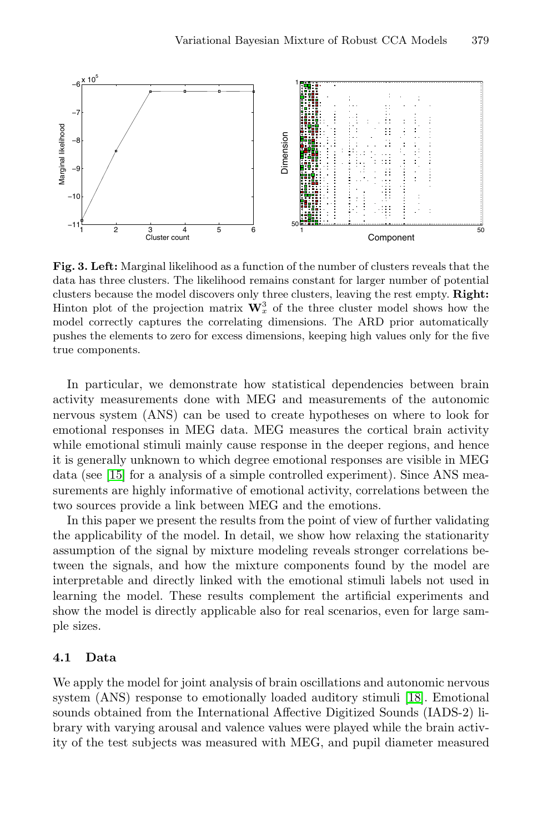

**Fig. 3. Left:** Marginal likelihood as a function of the number of clusters reveals that the data has three clusters. The likelihood remains constant for larger number of potential clusters because the model discovers only three clusters, leaving the rest empty. **Right:** Hinton plot of the projection matrix  $\mathbf{W}_x^3$  of the three cluster model shows how the model correctly captures the correlating dimensions. The ARD prior automatically pushes the elements to zero for excess dimensions, keeping high values only for the five true components.

In particular, we demonstrate how statistical dependencies between brain activity measurements done with MEG and measurements of the autonomic nervous system (ANS) can be used to create hypotheses on where to look for emotional responses in MEG data. MEG measures the cortical brain activity while emotional stimuli mainly cause response in the deeper regions, and hence it is generally unknown to which degree emotional responses are visible in MEG data (see [15] for a analysis of a simple controlled experiment). Since ANS measurements are highly informative of emotional activity, correlations between the two sources provide a link between MEG and the emotions.

In this paper we present the results from the point of view of further validating the applicability of the model. In detail, we show how relaxing the stationarity assumption of the signal by mixture modeling reveals stronger correlations between the signals, and how the mixture components found by the model are interpretable and directly linked with the e[moti](#page-15-8)onal stimuli labels not used in learning the model. These results complement the artificial experiments and show the model is directly applicable also for real scenarios, even for large sample sizes.

#### **4.1 Data**

We apply the model for joint analysis of brain oscillations and autonomic nervous system (ANS) response to emotionally loaded auditory stimuli [18]. Emotional sounds obtained from the International Affective Digitized Sounds (IADS-2) library with varying arousal and valence values were played while the brain activity of the test subjects was measured with MEG, and pupil diameter measured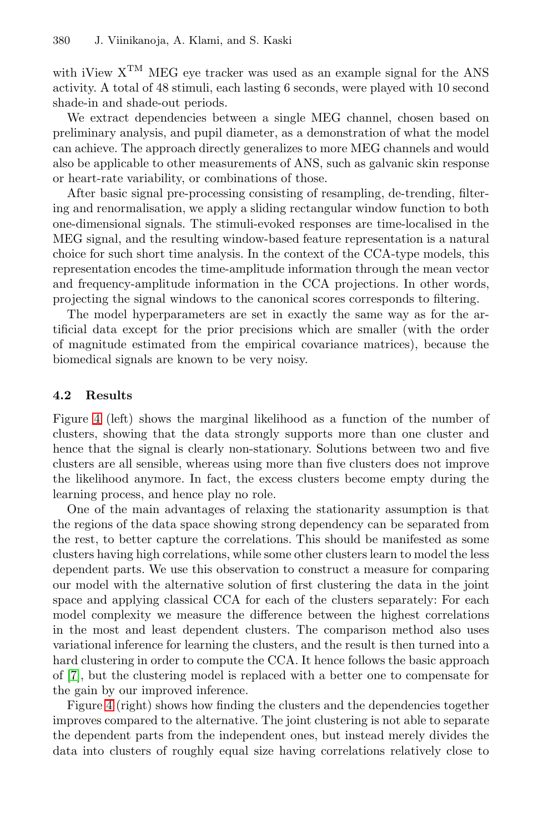with iView  $X^{TM}$  MEG eye tracker was used as an example signal for the ANS activity. A total of 48 stimuli, each lasting 6 seconds, were played with 10 second shade-in and shade-out periods.

We extract dependencies between a single MEG channel, chosen based on preliminary analysis, and pupil diameter, as a demonstration of what the model can achieve. The approach directly generalizes to more MEG channels and would also be applicable to other measurements of ANS, such as galvanic skin response or heart-rate variability, or combinations of those.

After basic signal pre-processing consisting of resampling, de-trending, filtering and renormalisation, we apply a sliding rectangular window function to both one-dimensional signals. The stimuli-evoked responses are time-localised in the MEG signal, and the resulting window-based feature representation is a natural choice for such short time analysis. In the context of the CCA-type models, this representation encodes the time-amplitude information through the mean vector and frequency-amplitude information in the CCA projections. In other words, projecting the signal windows to the canonical scores corresponds to filtering.

The model hyperparameters are set in exactly the same way as for the artificial data except for the prior precisions which are smaller (with the order of magnitude estimated from the empirical covariance matrices), because the biomedical signals are known to be very noisy.

### **4.2 Results**

Figure 4 (left) shows the marginal likelihood as a function of the number of clusters, showing that the data strongly supports more than one cluster and hence that the signal is clearly non-stationary. Solutions between two and five clusters are all sensible, whereas using more than five clusters does not improve the likelihood anymore. In fact, the excess clusters become empty during the learning process, and hence play no role.

One of the main advantages of relaxing the stationarity assumption is that the regions of the data space showing strong dependency can be separated from the rest, to better capture the correlations. This should be manifested as some clusters having high correlations, while some other clusters learn to model the less dependent parts. We use this observation to construct a measure for comparing our model with the alternative solution of first clustering the data in the joint space and applying classical CCA for each of the clusters separately: For each model complexity we measure the difference between the highest correlations in the most and least dependent clusters. The comparison method also uses variational inference for learning the clusters, and the result is then turned into a hard clustering in order to compute the CCA. It hence follows the basic approach of [7], but the clustering model is replaced with a better one to compensate for the gain by our improved inference.

Figure 4 (right) shows how finding the clusters and the dependencies together improves compared to the alternative. The joint clustering is not able to separate the dependent parts from the independent ones, but instead merely divides the data into clusters of roughly equal size having correlations relatively close to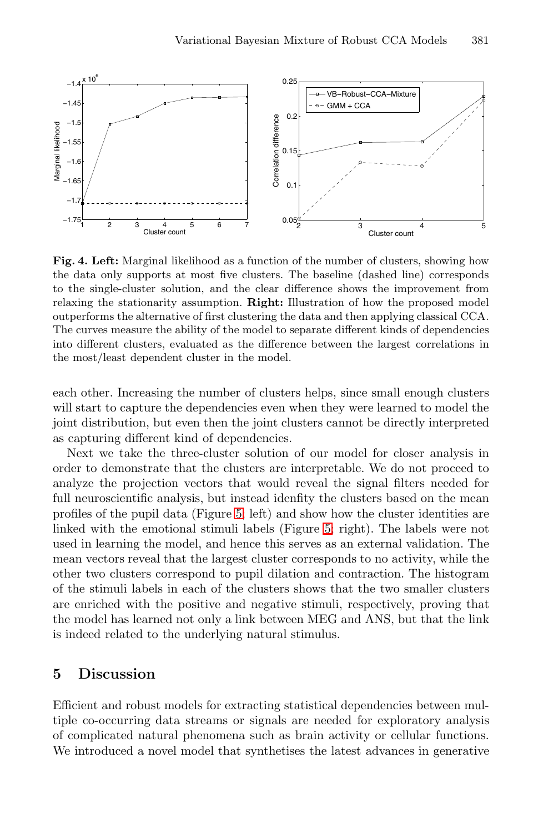

**Fig. 4. Left:** Marginal likelihood as a function of the number of clusters, showing how the data only supports at most five clusters. The baseline (dashed line) corresponds to the single-cluster solution, and the clear difference shows the improvement from relaxing the stationarity assumption. **Right:** Illustration of how the proposed model outperforms the alternative of first clustering the data and then applying classical CCA. The curves measure the ability of the model to separate different kinds of dependencies into different clusters, evaluated as the difference between the largest correlations in the most/least dependent cluster in the model.

each other. In[cre](#page-12-0)asing the number of clusters helps, since small enough clusters will start to capture the depen[de](#page-12-0)ncies even when they were learned to model the joint distribution, but even then the joint clusters cannot be directly interpreted as capturing different kind of dependencies.

Next we take the three-cluster solution of our model for closer analysis in order to demonstrate that the clusters are interpretable. We do not proceed to analyze the projection vectors that would reveal the signal filters needed for full neuroscientific analysis, but instead idenfity the clusters based on the mean profiles of the pupil data (Figure 5; left) and show how the cluster identities are linked with the emotional stimuli labels (Figure 5; right). The labels were not used in learning the model, and hence this serves as an external validation. The mean vectors reveal that the largest cluster corresponds to no activity, while the other two clusters correspond to pupil dilation and contraction. The histogram of the stimuli labels in each of the clusters shows that the two smaller clusters are enriched with the positive and negative stimuli, respectively, proving that the model has learned not only a link between MEG and ANS, but that the link is indeed related to the underlying natural stimulus.

### **5 Discussion**

Efficient and robust models for extracting statistical dependencies between multiple co-occurring data streams or signals are needed for exploratory analysis of complicated natural phenomena such as brain activity or cellular functions. We introduced a novel model that synthetises the latest advances in generative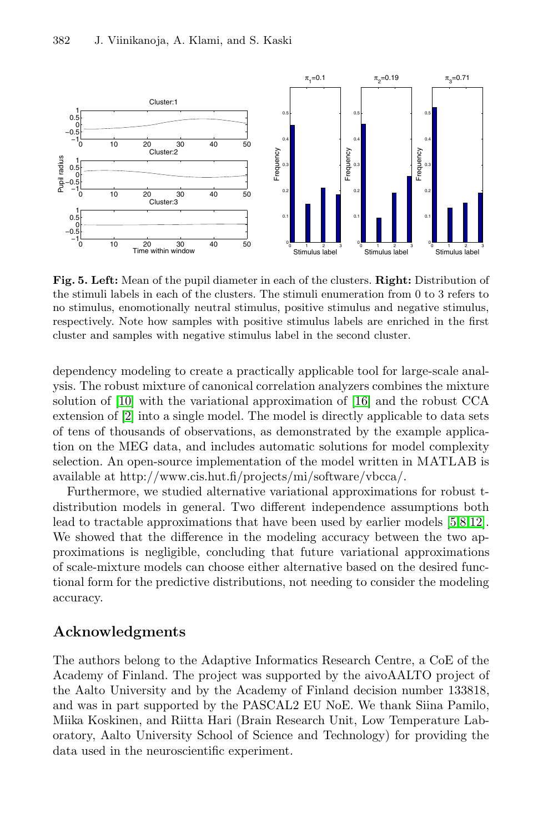<span id="page-12-0"></span>

**Fig. 5. Left:** Mean of the pupil diamet[er in](#page-15-4) each of the clusters. **Right:** Distribution of the stimuli labels in each of the clusters. The stimuli enumeration from 0 to 3 refers to no stimulus, enomotionally neutral stimulus, positive stimulus and negative stimulus, respectively. Note how samples with positive stimulus labels are enriched in the first cluster and samples with negative stimulus label in the second cluster.

dependency modeling to create a practically applicable tool for large-scale analysis. The robust mixture of canonical correlation analyzers combines the mixture solution of [10] with the variational approximation o[f \[](#page-15-2)[1](#page-15-6)[6\] a](#page-15-7)nd the robust CCA extension of [2] into a single model. The model is directly applicable to data sets of tens of thousands of observations, as demonstrated by the example application on the MEG data, and includes automatic solutions for model complexity selection. An open-source implementation of the model written in MATLAB is available at http://www.cis.hut.fi/projects/mi/software/vbcca/.

Furthermore, we studied alternative variational approximations for robust tdistribution models in general. Two different independence assumptions both lead to tractable approximations that have been used by earlier models [5,8,12]. We showed that the difference in the modeling accuracy between the two approximations is negligible, concluding that future variational approximations of scale-mixture models can choose either alternative based on the desired functional form for the predictive distributions, not needing to consider the modeling accuracy.

### **Acknowledgments**

The authors belong to the Adaptive Informatics Research Centre, a CoE of the Academy of Finland. The project was supported by the aivoAALTO project of the Aalto University and by the Academy of Finland decision number 133818, and was in part supported by the PASCAL2 EU NoE. We thank Siina Pamilo, Miika Koskinen, and Riitta Hari (Brain Research Unit, Low Temperature Laboratory, Aalto University School of Science and Technology) for providing the data used in the neuroscientific experiment.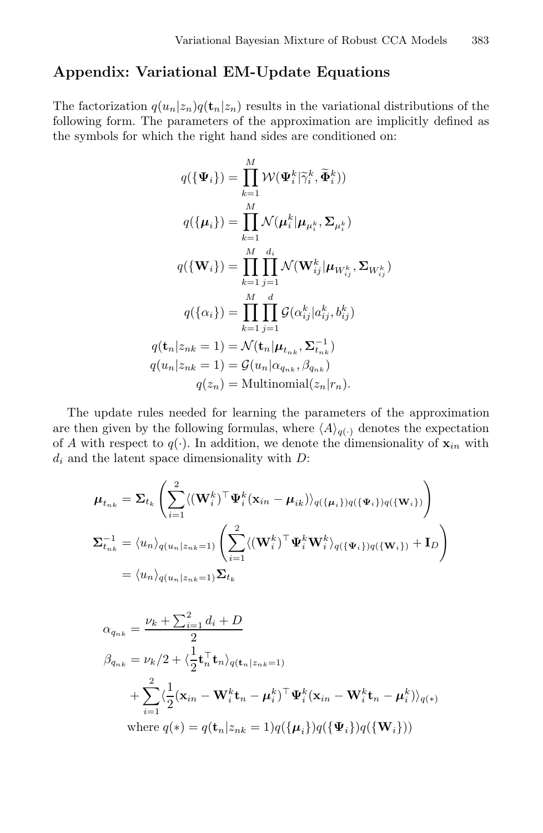# **Appendix: Variational EM-Update Equations**

The factorization  $q(u_n|z_n)q(\mathbf{t}_n|z_n)$  results in the variational distributions of the following form. The parameters of the approximation are implicitly defined as the symbols for which the right hand sides are conditioned on:

$$
q(\{\Psi_i\}) = \prod_{k=1}^{M} \mathcal{W}(\Psi_i^k | \widetilde{\gamma}_i^k, \widetilde{\Phi}_i^k))
$$

$$
q(\{\mu_i\}) = \prod_{k=1}^{M} \mathcal{N}(\mu_i^k | \mu_{\mu_i^k}, \Sigma_{\mu_i^k})
$$

$$
q(\{\mathbf{W}_i\}) = \prod_{k=1}^{M} \prod_{j=1}^{d_i} \mathcal{N}(\mathbf{W}_{ij}^k | \mu_{W_{ij}^k}, \Sigma_{W_{ij}^k})
$$

$$
q(\{\alpha_i\}) = \prod_{k=1}^{M} \prod_{j=1}^{d} \mathcal{G}(\alpha_{ij}^k | a_{ij}^k, b_{ij}^k)
$$

$$
q(\mathbf{t}_n | z_{nk} = 1) = \mathcal{N}(\mathbf{t}_n | \mu_{t_{nk}}, \Sigma_{t_{nk}}^{-1})
$$

$$
q(u_n | z_{nk} = 1) = \mathcal{G}(u_n | \alpha_{q_{nk}}, \beta_{q_{nk}})
$$

$$
q(z_n) = \text{Multinomial}(z_n | r_n).
$$

The update rules needed for learning the parameters of the approximation are then given by the following formulas, where  $\langle A \rangle_{q(\cdot)}$  denotes the expectation of A with respect to  $q(\cdot)$ . In addition, we denote the dimensionality of  $\mathbf{x}_{in}$  with  $d_i$  and the latent space dimensionality with  $D$ :

$$
\mu_{t_{nk}} = \Sigma_{t_k} \left( \sum_{i=1}^2 \langle (\mathbf{W}_i^k)^{\top} \Psi_i^k(\mathbf{x}_{in} - \mu_{ik}) \rangle_{q(\{\mu_i\})q(\{\Psi_i\})q(\{\mathbf{W}_i\})} \right)
$$
  

$$
\Sigma_{t_{nk}}^{-1} = \langle u_n \rangle_{q(u_n|z_{nk}=1)} \left( \sum_{i=1}^2 \langle (\mathbf{W}_i^k)^{\top} \Psi_i^k \mathbf{W}_i^k \rangle_{q(\{\Psi_i\})q(\{\mathbf{W}_i\})} + \mathbf{I}_D \right)
$$
  

$$
= \langle u_n \rangle_{q(u_n|z_{nk}=1)} \Sigma_{t_k}
$$

$$
\alpha_{q_{nk}} = \frac{\nu_k + \sum_{i=1}^2 d_i + D}{2}
$$
\n
$$
\beta_{q_{nk}} = \nu_k/2 + \langle \frac{1}{2} \mathbf{t}_n^{\top} \mathbf{t}_n \rangle_{q(\mathbf{t}_n | z_{nk} = 1)} + \sum_{i=1}^2 \langle \frac{1}{2} (\mathbf{x}_{in} - \mathbf{W}_i^k \mathbf{t}_n - \boldsymbol{\mu}_i^k)^{\top} \boldsymbol{\Psi}_i^k (\mathbf{x}_{in} - \mathbf{W}_i^k \mathbf{t}_n - \boldsymbol{\mu}_i^k) \rangle_{q(\ast)}
$$
\nwhere  $q(\ast) = q(\mathbf{t}_n | z_{nk} = 1)q(\{\boldsymbol{\mu}_i\})q(\{\boldsymbol{\Psi}_i\})q(\{\mathbf{W}_i\})$ )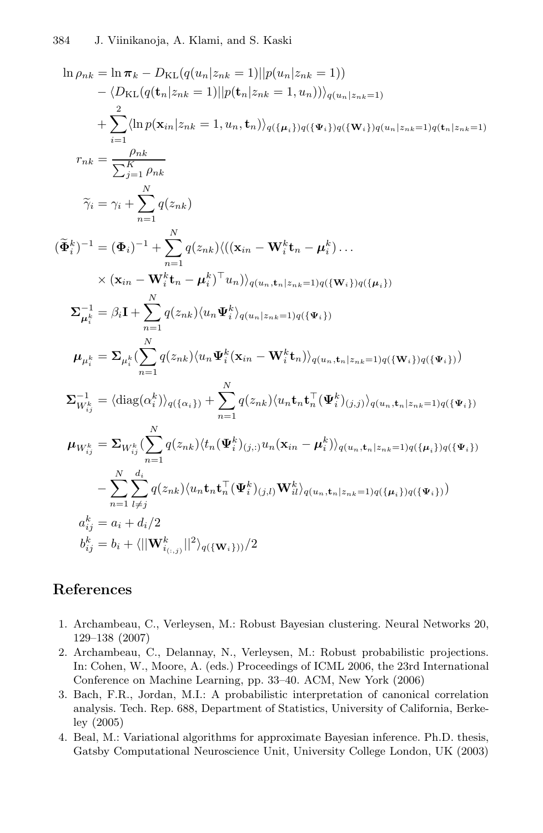$$
\ln \rho_{nk} = \ln \pi_k - D_{\text{KL}}(q(u_n|z_{nk} = 1)||p(u_n|z_{nk} = 1))
$$
  
\n
$$
- \langle D_{\text{KL}}(q(t_n|z_{nk} = 1)||p(t_n|z_{nk} = 1, u_n))\rangle_{q(u_n|z_{nk} = 1)}
$$
  
\n
$$
+ \sum_{i=1}^{2} \langle \ln p(\mathbf{x}_{in}|z_{nk} = 1, u_n, t_n) \rangle_{q(\{\mu_i\})q(\{\Psi_i\})q(\{\mathbf{W}_i\})q(u_n|z_{nk} = 1)q(t_n|z_{nk} = 1)}
$$
  
\n
$$
r_{nk} = \frac{\rho_{nk}}{\sum_{j=1}^{K} \rho_{nk}} \tilde{\gamma}_i = \gamma_i + \sum_{n=1}^{N} q(z_{nk})
$$
  
\n
$$
(\tilde{\Phi}_i^k)^{-1} = (\Phi_i)^{-1} + \sum_{n=1}^{N} q(z_{nk}) \langle ((\mathbf{x}_{in} - \mathbf{W}_i^k \mathbf{t}_n - \mu_i^k) \dots \times (\mathbf{x}_{in} - \mathbf{W}_i^k \mathbf{t}_n - \mu_i^k)^{\top} u_n) \rangle_{q(u_n, t_n|z_{nk} = 1)q(\{\mathbf{W}_i\})q(\{\mu_i\})}
$$
  
\n
$$
\sum_{\mu_i^k} = \beta_i \mathbf{I} + \sum_{n=1}^{N} q(z_{nk}) \langle u_n \Psi_i^k \rangle_{q(u_n|z_{nk} = 1)q(\{\mathbf{W}_i\})q(\{\mu_i\})}
$$
  
\n
$$
\mu_{\mu_i^k} = \sum_{\mu_i^k} (\sum_{n=1}^{N} q(z_{nk}) \langle u_n \Psi_i^k (\mathbf{x}_{in} - \mathbf{W}_i^k \mathbf{t}_n) \rangle_{q(u_n, t_n|z_{nk} = 1)q(\{\mathbf{W}_i\})q(\{\Psi_i\})})
$$
  
\n
$$
\sum_{\nu_{ij}^k}^{-1} = \langle \text{diag}(\alpha_i^k) \rangle_{q(\{\alpha_i\})} + \sum_{n=1}^{N} q(z_{nk}) \langle u_n \mathbf{t}_n \mathbf{t}_n^{\top} (\Psi_i^k)_{(j,j)} \rangle_{q(u_n, t_n|z_{nk} = 1)q(\{\
$$

# **References**

- 1. Archambeau, C., Verleysen, M.: Robust Bayesian clustering. Neural Networks 20, 129–138 (2007)
- <span id="page-14-0"></span>2. Archambeau, C., Delannay, N., Verleysen, M.: Robust probabilistic projections. In: Cohen, W., Moore, A. (eds.) Proceedings of ICML 2006, the 23rd International Conference on Machine Learning, pp. 33–40. ACM, New York (2006)
- <span id="page-14-1"></span>3. Bach, F.R., Jordan, M.I.: A probabilistic interpretation of canonical correlation analysis. Tech. Rep. 688, Department of Statistics, University of California, Berkeley (2005)
- <span id="page-14-2"></span>4. Beal, M.: Variational algorithms for approximate Bayesian inference. Ph.D. thesis, Gatsby Computational Neuroscience Unit, University College London, UK (2003)